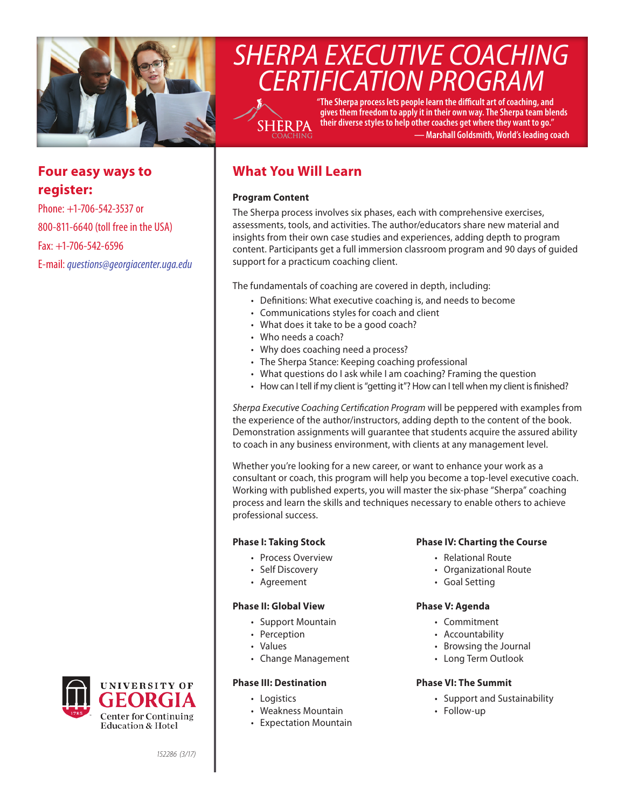

# *SHERPA EXECUTIVE COACHING CERTIFICATION PROGRAM*

SHER PA

**"The Sherpa process lets people learn the difficult art of coaching, and gives them freedom to apply it in their own way. The Sherpa team blends their diverse styles to help other coaches get where they want to go." — Marshall Goldsmith, World's leading coach**

# **Four easy ways to register:**

Phone: +1-706-542-3537 or 800-811-6640 (toll free in the USA) Fax: +1-706-542-6596 E-mail: *[questions@georgiacenter.uga.edu](mailto:questions@georgiacenter.uga.edu?Subject=Sherpa Executive Coaching inquiry)*



# **Program Content**

The Sherpa process involves six phases, each with comprehensive exercises, assessments, tools, and activities. The author/educators share new material and insights from their own case studies and experiences, adding depth to program content. Participants get a full immersion classroom program and 90 days of guided support for a practicum coaching client.

The fundamentals of coaching are covered in depth, including:

- Definitions: What executive coaching is, and needs to become
- Communications styles for coach and client
- What does it take to be a good coach?
- Who needs a coach?
- Why does coaching need a process?
- The Sherpa Stance: Keeping coaching professional
- What questions do I ask while I am coaching? Framing the question
- How can I tell if my client is "getting it"? How can I tell when my client is finished?

*Sherpa Executive Coaching Certification Program* will be peppered with examples from the experience of the author/instructors, adding depth to the content of the book. Demonstration assignments will guarantee that students acquire the assured ability to coach in any business environment, with clients at any management level.

Whether you're looking for a new career, or want to enhance your work as a consultant or coach, this program will help you become a top-level executive coach. Working with published experts, you will master the six-phase "Sherpa" coaching process and learn the skills and techniques necessary to enable others to achieve professional success.

# **Phase I: Taking Stock**

- Process Overview
- Self Discovery
- Agreement

## **Phase II: Global View**

- Support Mountain
- Perception
- Values
- Change Management

## **Phase III: Destination**

- Logistics
- Weakness Mountain
- Expectation Mountain

## **Phase IV: Charting the Course**

- Relational Route
- Organizational Route
- Goal Setting

#### **Phase V: Agenda**

- Commitment
- Accountability
- Browsing the Journal
- Long Term Outlook

#### **Phase VI: The Summit**

- Support and Sustainability
- Follow-up



*152286 (3/17)*